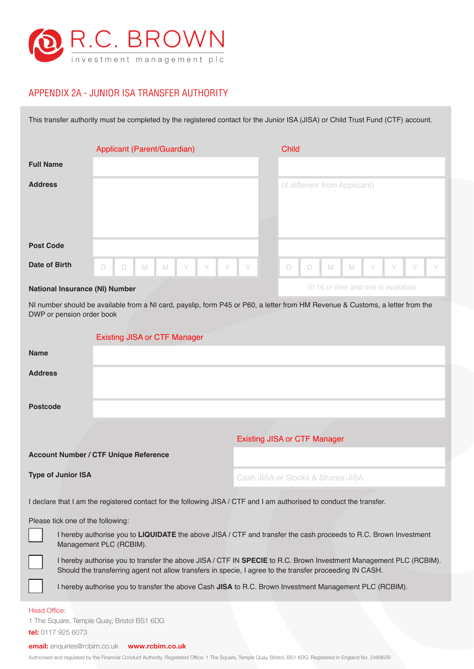

## APPENDIX 2A - JUNIOR ISA TRANSFER AUTHORITY

This transfer authority must be completed by the registered contact for the Junior ISA (JISA) or Child Trust Fund (CTF) account.

|                                           | Applicant (Parent/Guardian)                     |  | <b>Child</b>                                                       |
|-------------------------------------------|-------------------------------------------------|--|--------------------------------------------------------------------|
| <b>Full Name</b>                          |                                                 |  |                                                                    |
| <b>Address</b>                            |                                                 |  | (if different from Applicant)                                      |
| <b>Post Code</b>                          |                                                 |  |                                                                    |
| Date of Birth                             | $M$ $M$<br>$\Box$<br><b>Y Y Y Y Y</b><br>$\Box$ |  | $Y$ $Y$ $Y$<br>$\Box$<br>$\mathbb N$<br>Y<br>$\Box$<br>$\mathbb N$ |
| Matten of become excellent MIN Memoria on |                                                 |  | (if 16 or over and one is available)                               |

## **National Insurance (NI) Number**

NI number should be available from a NI card, payslip, form P45 or P60, a letter from HM Revenue & Customs, a letter from the DWP or pension order book

|                                                                                                                                                                                                                                | <b>Existing JISA or CTF Manager</b>          |                                                                                                         |  |  |  |
|--------------------------------------------------------------------------------------------------------------------------------------------------------------------------------------------------------------------------------|----------------------------------------------|---------------------------------------------------------------------------------------------------------|--|--|--|
| <b>Name</b>                                                                                                                                                                                                                    |                                              |                                                                                                         |  |  |  |
| <b>Address</b>                                                                                                                                                                                                                 |                                              |                                                                                                         |  |  |  |
| <b>Postcode</b>                                                                                                                                                                                                                |                                              |                                                                                                         |  |  |  |
|                                                                                                                                                                                                                                |                                              |                                                                                                         |  |  |  |
|                                                                                                                                                                                                                                |                                              | <b>Existing JISA or CTF Manager</b>                                                                     |  |  |  |
|                                                                                                                                                                                                                                | <b>Account Number / CTF Unique Reference</b> |                                                                                                         |  |  |  |
| <b>Type of Junior ISA</b>                                                                                                                                                                                                      |                                              | Cash JISA or Stocks & Shares JISA                                                                       |  |  |  |
| I declare that I am the registered contact for the following JISA / CTF and I am authorised to conduct the transfer.                                                                                                           |                                              |                                                                                                         |  |  |  |
| Please tick one of the following:                                                                                                                                                                                              |                                              |                                                                                                         |  |  |  |
| I hereby authorise you to LIQUIDATE the above JISA / CTF and transfer the cash proceeds to R.C. Brown Investment<br>Management PLC (RCBIM).                                                                                    |                                              |                                                                                                         |  |  |  |
| I hereby authorise you to transfer the above JISA / CTF IN SPECIE to R.C. Brown Investment Management PLC (RCBIM).<br>Should the transferring agent not allow transfers in specie, I agree to the transfer proceeding IN CASH. |                                              |                                                                                                         |  |  |  |
|                                                                                                                                                                                                                                |                                              | I hereby authorise you to transfer the above Cash JISA to R.C. Brown Investment Management PLC (RCBIM). |  |  |  |
| <b>Head Office:</b>                                                                                                                                                                                                            |                                              |                                                                                                         |  |  |  |
| 1 The Square, Temple Quay, Bristol BS1 6DG                                                                                                                                                                                     |                                              |                                                                                                         |  |  |  |
| tel: 0117 925 6073                                                                                                                                                                                                             |                                              |                                                                                                         |  |  |  |
| <b>email:</b> enquiries@rcbim.co.uk www.rcbim.co.uk                                                                                                                                                                            |                                              |                                                                                                         |  |  |  |

Authorised and regulated by the Financial Conduct Authority. Registered Office: 1 The Square, Temple Quay, Bristol, BS1 6DG. Registered in England No. 2489639